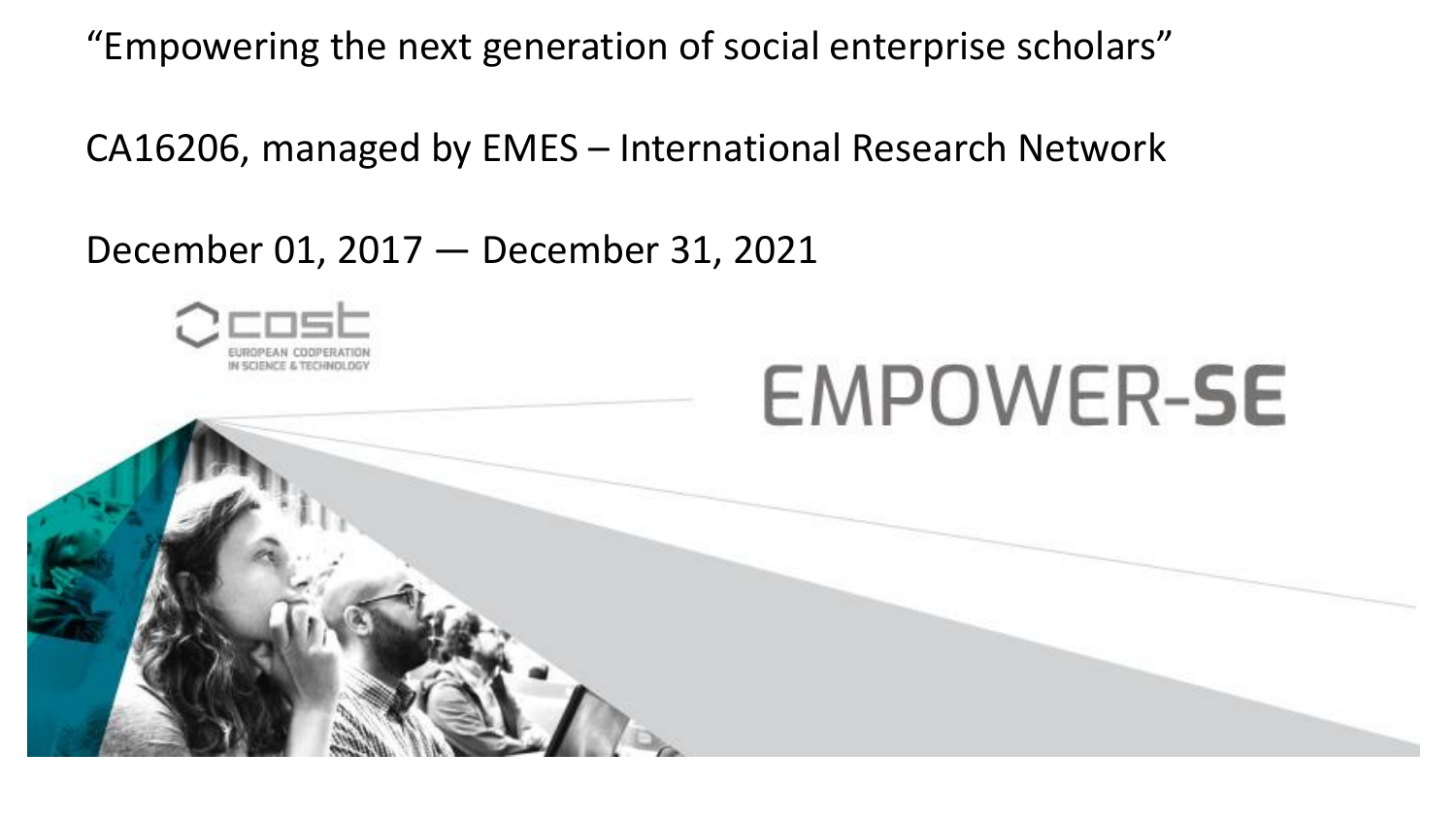"Empowering the next generation of social enterprise scholars"

CA16206, managed by EMES – International Research Network

December 01, 2017 — December 31, 2021



# **EMPOWER-SE**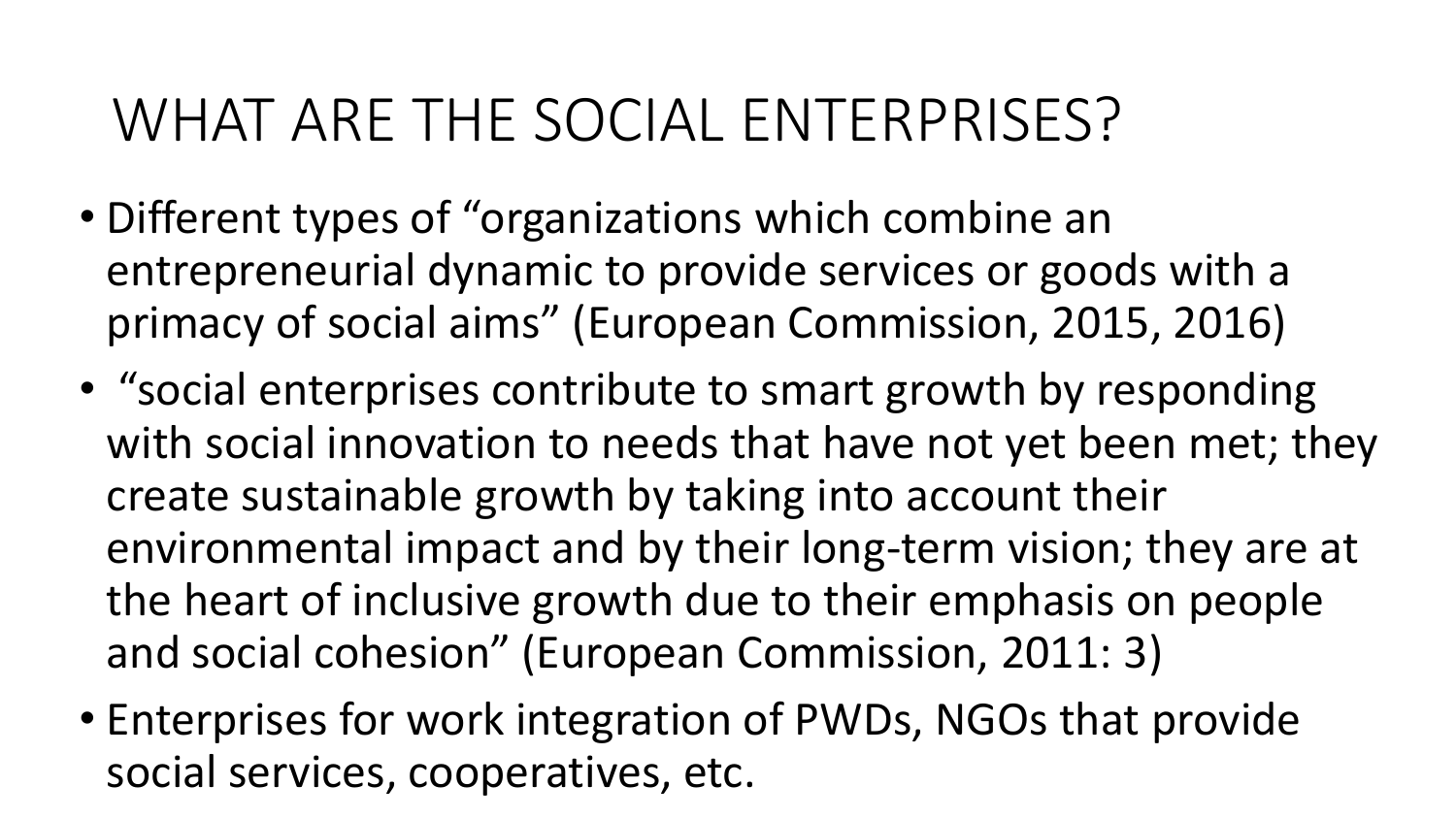#### WHAT ARE THE SOCIAL ENTERPRISES?

- Different types of "organizations which combine an entrepreneurial dynamic to provide services or goods with a primacy of social aims" (European Commission, 2015, 2016)
- "social enterprises contribute to smart growth by responding with social innovation to needs that have not yet been met; they create sustainable growth by taking into account their environmental impact and by their long-term vision; they are at the heart of inclusive growth due to their emphasis on people and social cohesion" (European Commission, 2011: 3)
- Enterprises for work integration of PWDs, NGOs that provide social services, cooperatives, etc.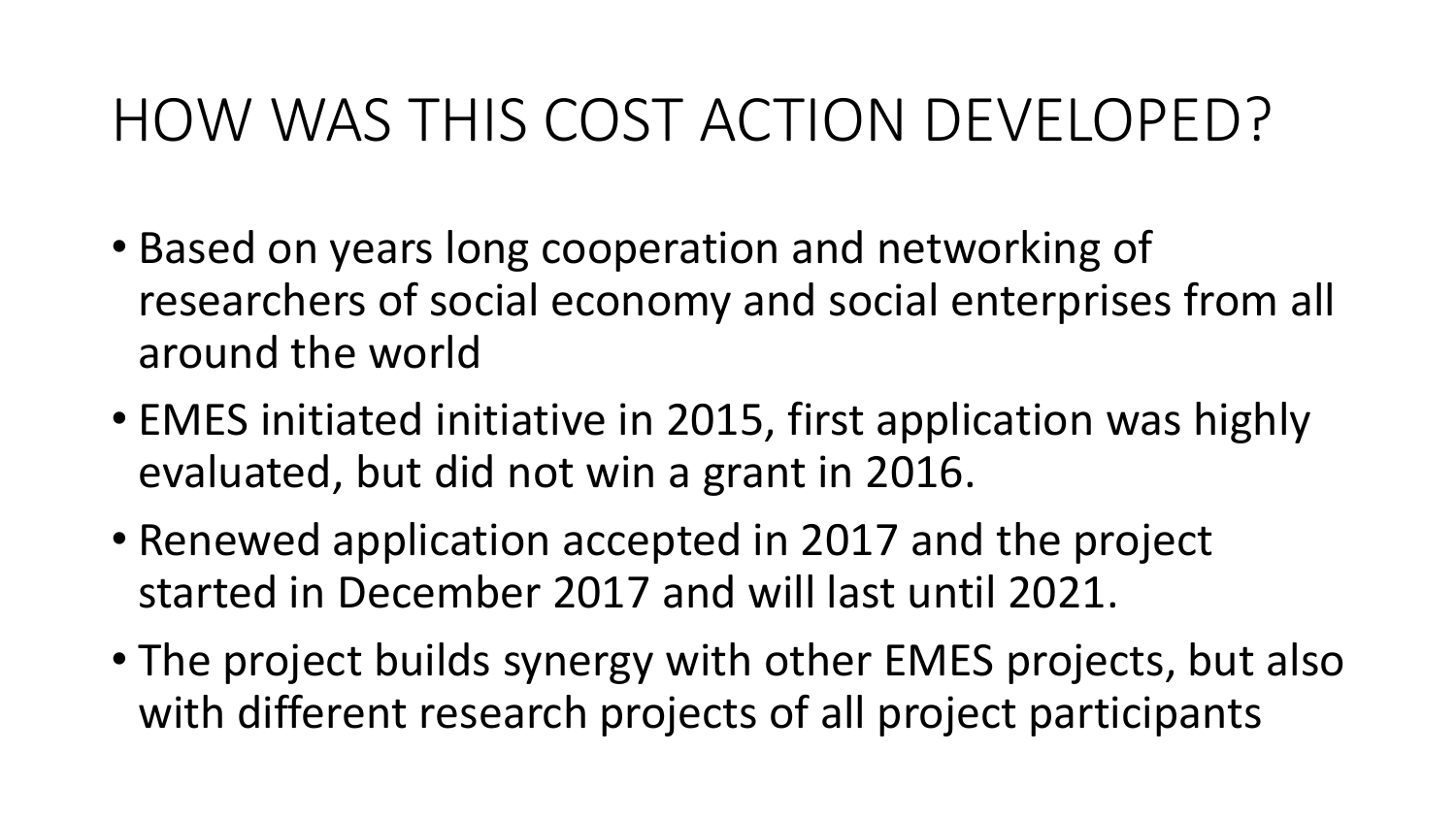#### HOW WAS THIS COST ACTION DEVELOPED?

- Based on years long cooperation and networking of researchers of social economy and social enterprises from all around the world
- EMES initiated initiative in 2015, first application was highly evaluated, but did not win a grant in 2016.
- Renewed application accepted in 2017 and the project started in December 2017 and will last until 2021.
- The project builds synergy with other EMES projects, but also with different research projects of all project participants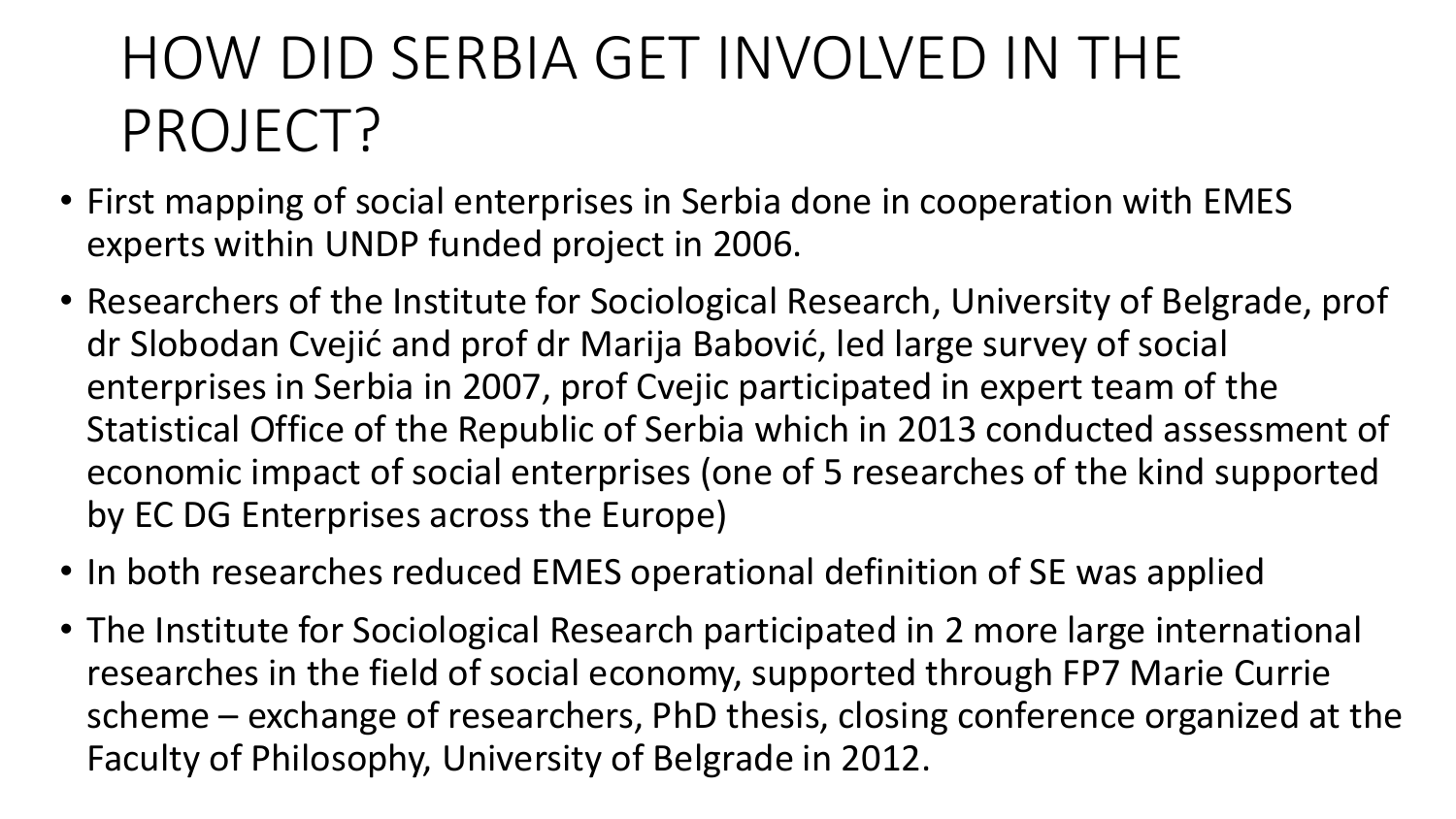## HOW DID SERBIA GET INVOLVED IN THE PROJECT?

- First mapping of social enterprises in Serbia done in cooperation with EMES experts within UNDP funded project in 2006.
- Researchers of the Institute for Sociological Research, University of Belgrade, prof dr Slobodan Cvejić and prof dr Marija Babović, led large survey of social enterprises in Serbia in 2007, prof Cvejic participated in expert team of the Statistical Office of the Republic of Serbia which in 2013 conducted assessment of economic impact of social enterprises (one of 5 researches of the kind supported by EC DG Enterprises across the Europe)
- In both researches reduced EMES operational definition of SE was applied
- The Institute for Sociological Research participated in 2 more large international researches in the field of social economy, supported through FP7 Marie Currie scheme – exchange of researchers, PhD thesis, closing conference organized at the Faculty of Philosophy, University of Belgrade in 2012.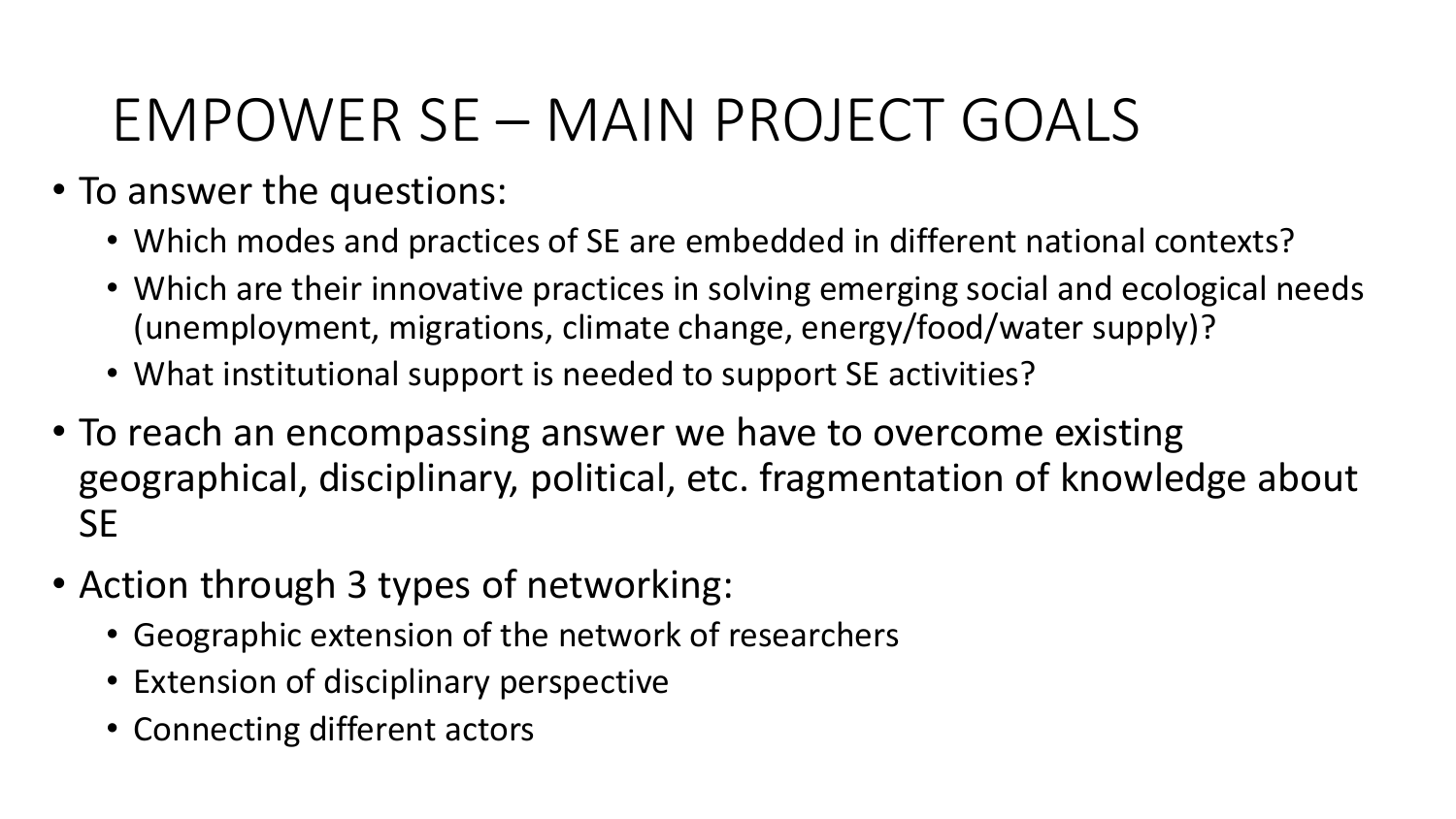### EMPOWER SE – MAIN PROJECT GOALS

- To answer the questions:
	- Which modes and practices of SE are embedded in different national contexts?
	- Which are their innovative practices in solving emerging social and ecological needs (unemployment, migrations, climate change, energy/food/water supply)?
	- What institutional support is needed to support SE activities?
- To reach an encompassing answer we have to overcome existing geographical, disciplinary, political, etc. fragmentation of knowledge about **SE**
- Action through 3 types of networking:
	- Geographic extension of the network of researchers
	- Extension of disciplinary perspective
	- Connecting different actors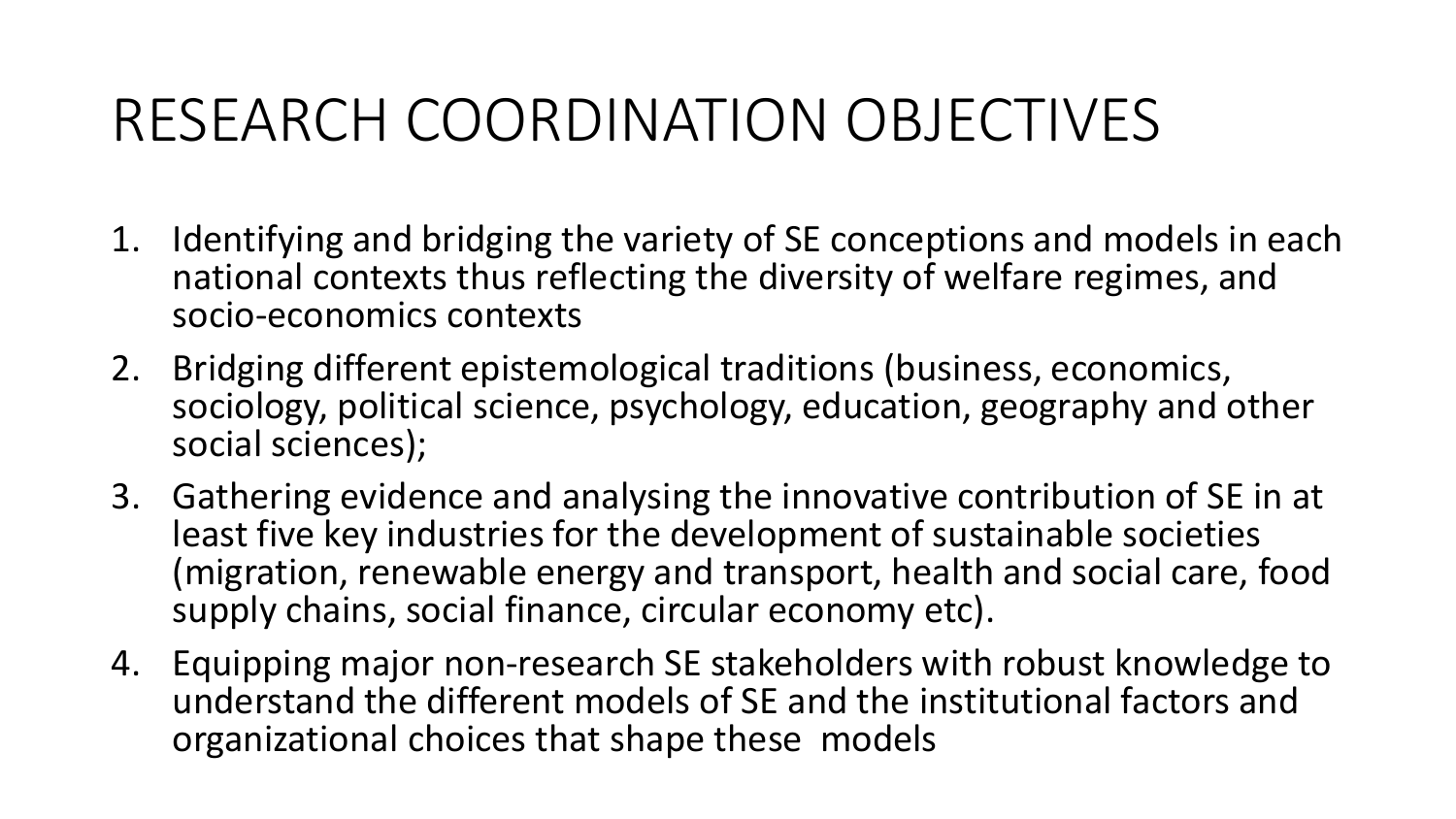#### RESEARCH COORDINATION OBJECTIVES

- 1. Identifying and bridging the variety of SE conceptions and models in each national contexts thus reflecting the diversity of welfare regimes, and socio-economics contexts
- 2. Bridging different epistemological traditions (business, economics, sociology, political science, psychology, education, geography and other social sciences);
- 3. Gathering evidence and analysing the innovative contribution of SE in at least five key industries for the development of sustainable societies (migration, renewable energy and transport, health and social care, food supply chains, social finance, circular economy etc).
- 4. Equipping major non-research SE stakeholders with robust knowledge to understand the different models of SE and the institutional factors and organizational choices that shape these models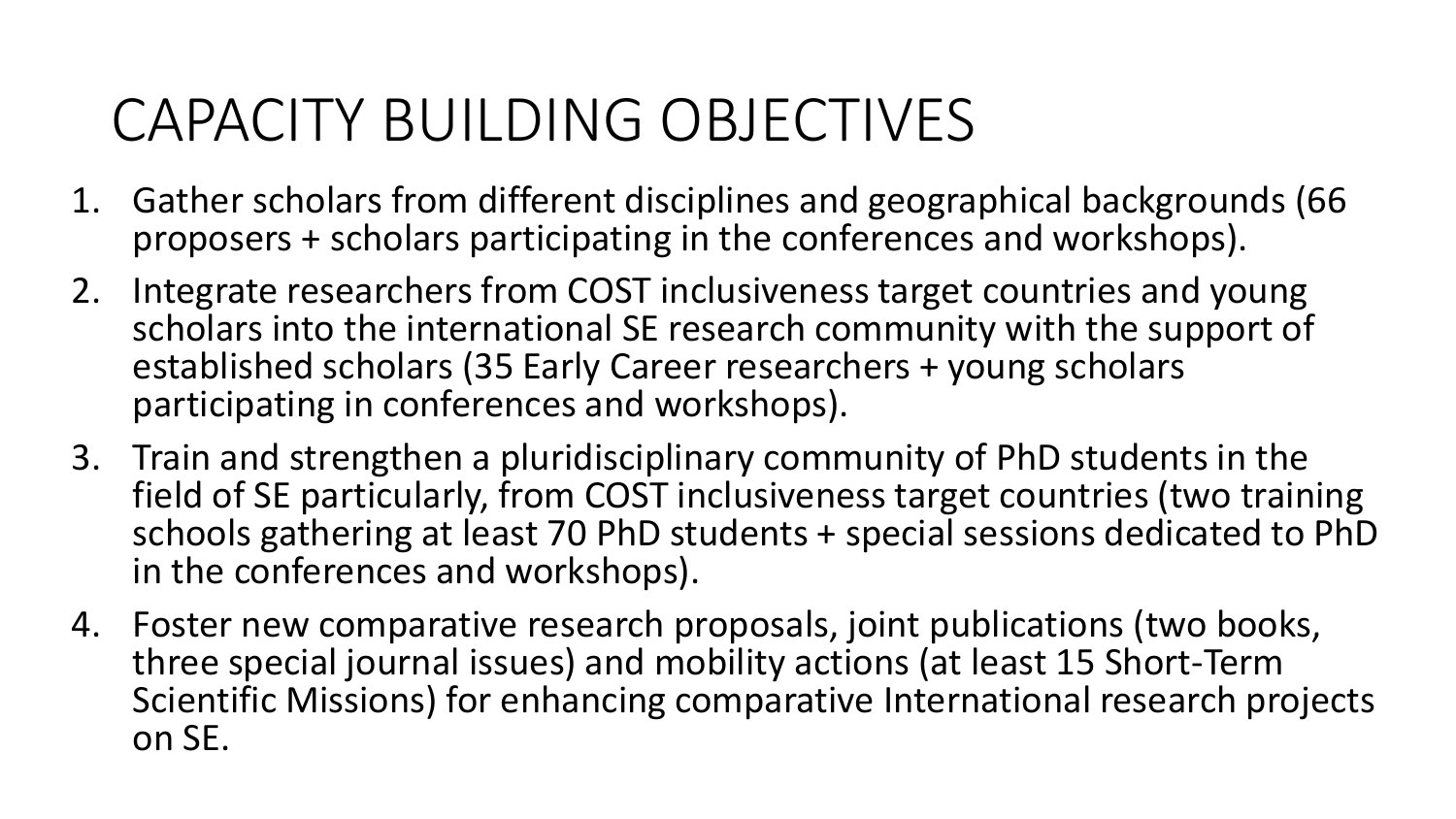### CAPACITY BUILDING OBJECTIVES

- 1. Gather scholars from different disciplines and geographical backgrounds (66 proposers + scholars participating in the conferences and workshops).
- 2. Integrate researchers from COST inclusiveness target countries and young scholars into the international SE research community with the support of established scholars (35 Early Career researchers + young scholars participating in conferences and workshops).
- 3. Train and strengthen a pluridisciplinary community of PhD students in the field of SE particularly, from COST inclusiveness target countries (two training schools gathering at least 70 PhD students + special sessions dedicated to PhD in the conferences and workshops).
- 4. Foster new comparative research proposals, joint publications (two books, three special journal issues) and mobility actions (at least 15 Short-Term Scientific Missions) for enhancing comparative International research projects on SE.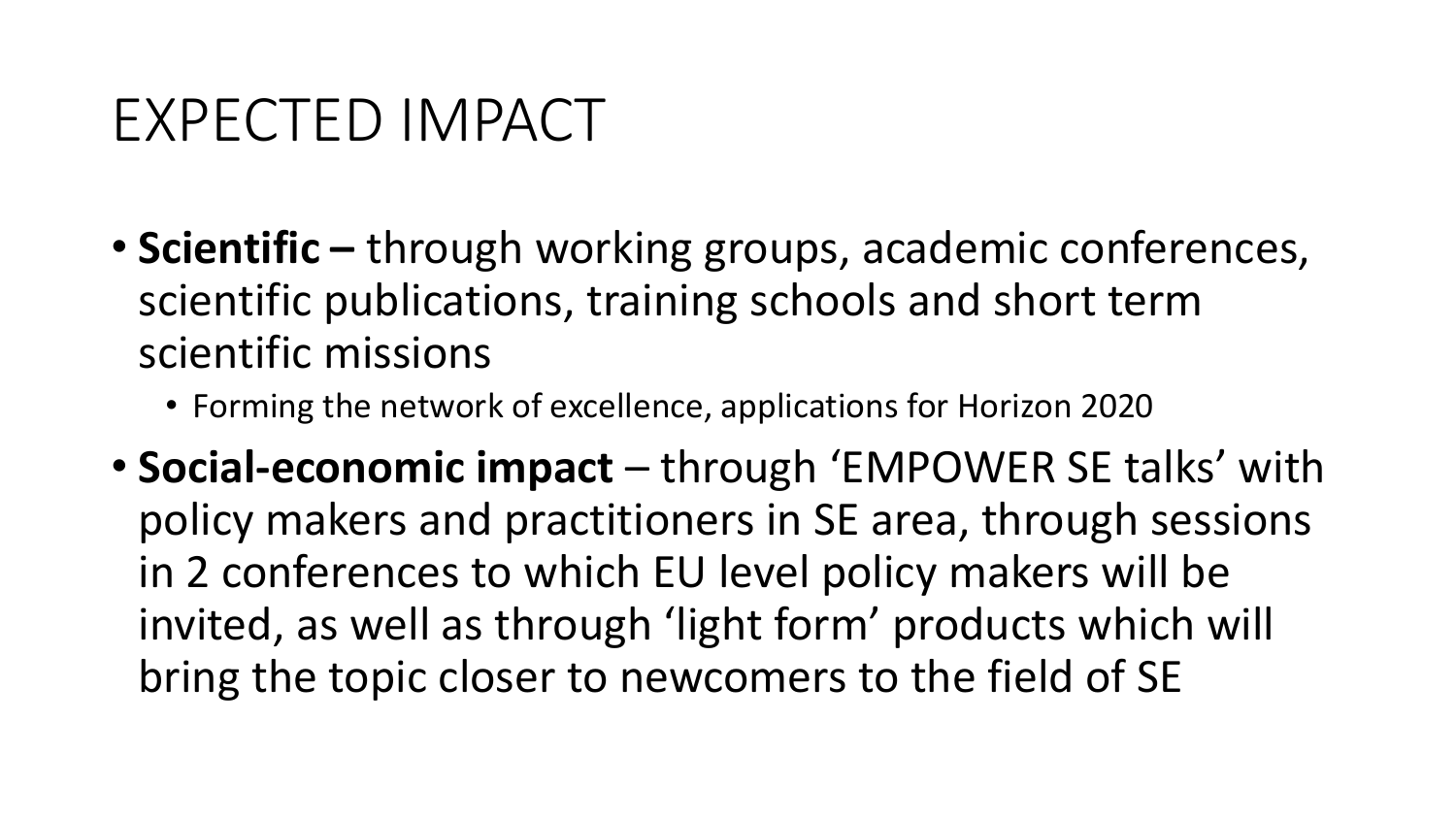#### EXPECTED IMPACT

- **Scientific** through working groups, academic conferences, scientific publications, training schools and short term scientific missions
	- Forming the network of excellence, applications for Horizon 2020
- **Social-economic impact** through 'EMPOWER SE talks' with policy makers and practitioners in SE area, through sessions in 2 conferences to which EU level policy makers will be invited, as well as through 'light form' products which will bring the topic closer to newcomers to the field of SE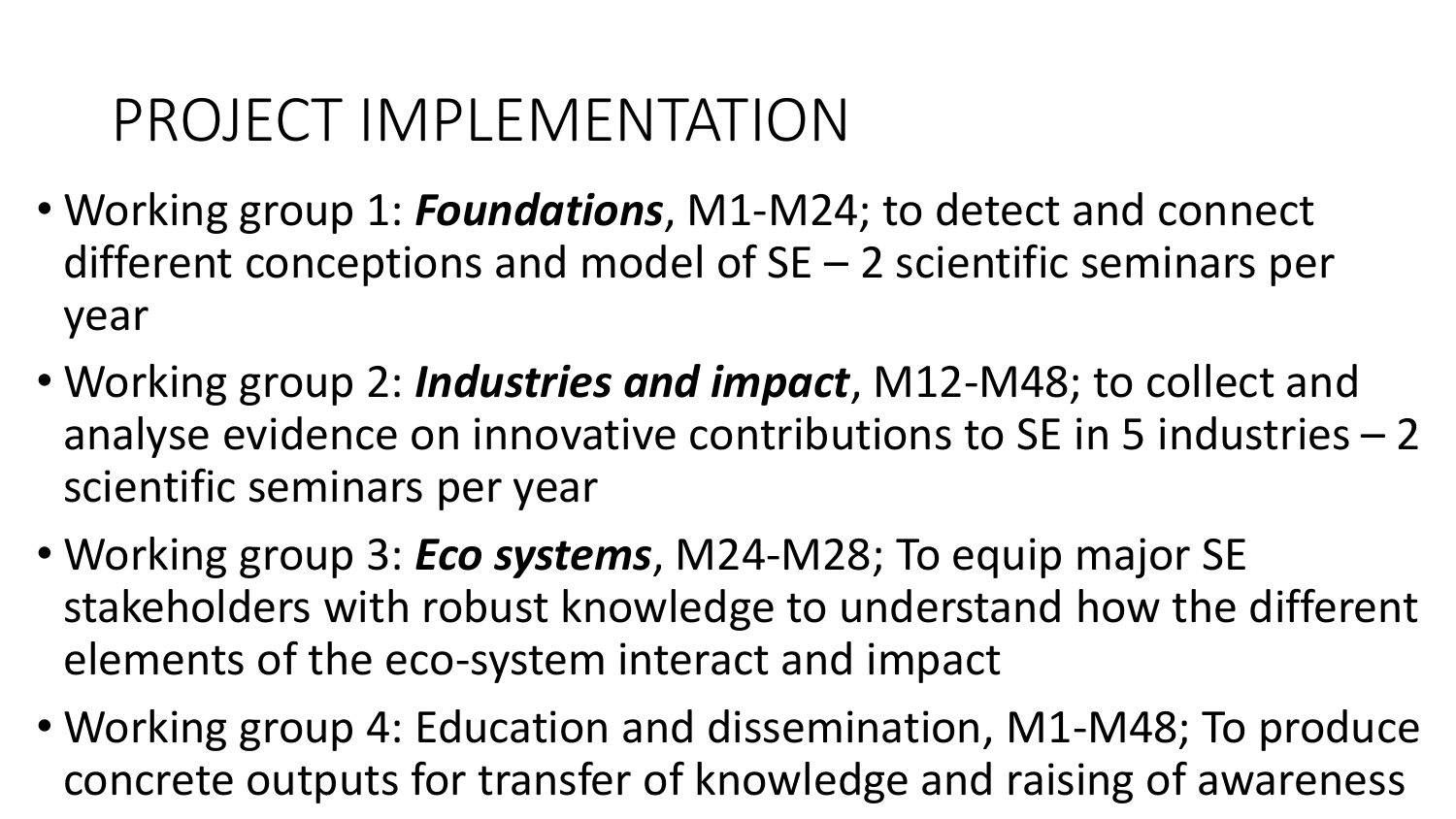#### PROJECT IMPLEMENTATION

- Working group 1: *Foundations*, M1-M24; to detect and connect different conceptions and model of SE – 2 scientific seminars per year
- Working group 2: *Industries and impact*, M12-M48; to collect and analyse evidence on innovative contributions to SE in 5 industries – 2 scientific seminars per year
- Working group 3: *Eco systems*, M24-M28; To equip major SE stakeholders with robust knowledge to understand how the different elements of the eco-system interact and impact
- Working group 4: Education and dissemination, M1-M48; To produce concrete outputs for transfer of knowledge and raising of awareness